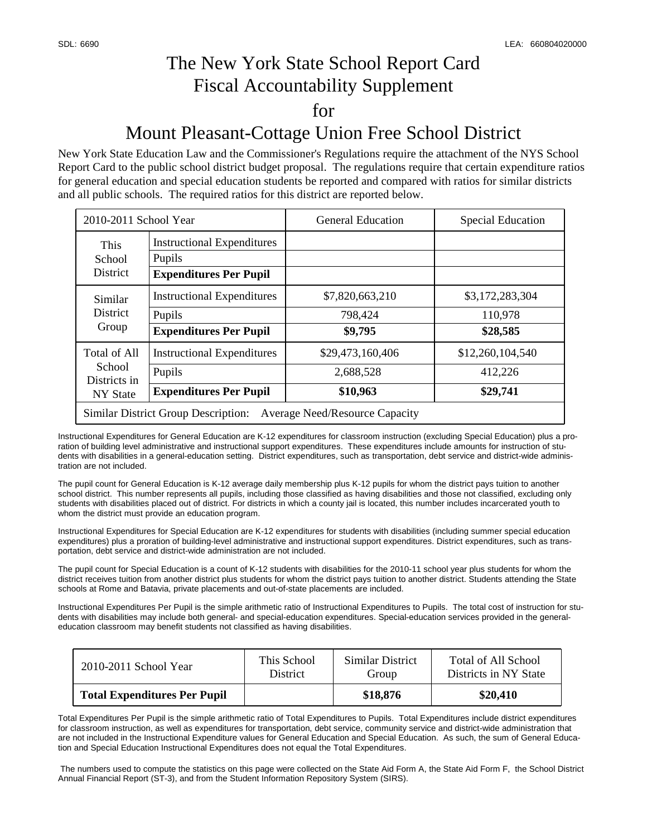## The New York State School Report Card Fiscal Accountability Supplement for Mount Pleasant-Cottage Union Free School District

### New York State Education Law and the Commissioner's Regulations require the attachment of the NYS School Report Card to the public school district budget proposal. The regulations require that certain expenditure ratios for general education and special education students be reported and compared with ratios for similar districts and all public schools. The required ratios for this district are reported below.

| 2010-2011 School Year                                                               |                                                                              | <b>General Education</b>                  | <b>Special Education</b>                |  |  |  |
|-------------------------------------------------------------------------------------|------------------------------------------------------------------------------|-------------------------------------------|-----------------------------------------|--|--|--|
| This<br>School<br><b>District</b>                                                   | <b>Instructional Expenditures</b><br>Pupils<br><b>Expenditures Per Pupil</b> |                                           |                                         |  |  |  |
| Similar<br><b>District</b><br>Group                                                 | <b>Instructional Expenditures</b><br>Pupils<br><b>Expenditures Per Pupil</b> | \$7,820,663,210<br>798,424<br>\$9,795     | \$3,172,283,304<br>110,978<br>\$28,585  |  |  |  |
| Total of All<br>School<br>Districts in<br>NY State                                  | <b>Instructional Expenditures</b><br>Pupils<br><b>Expenditures Per Pupil</b> | \$29,473,160,406<br>2,688,528<br>\$10,963 | \$12,260,104,540<br>412,226<br>\$29,741 |  |  |  |
| <b>Similar District Group Description:</b><br><b>Average Need/Resource Capacity</b> |                                                                              |                                           |                                         |  |  |  |

Instructional Expenditures for General Education are K-12 expenditures for classroom instruction (excluding Special Education) plus a proration of building level administrative and instructional support expenditures. These expenditures include amounts for instruction of students with disabilities in a general-education setting. District expenditures, such as transportation, debt service and district-wide administration are not included.

The pupil count for General Education is K-12 average daily membership plus K-12 pupils for whom the district pays tuition to another school district. This number represents all pupils, including those classified as having disabilities and those not classified, excluding only students with disabilities placed out of district. For districts in which a county jail is located, this number includes incarcerated youth to whom the district must provide an education program.

Instructional Expenditures for Special Education are K-12 expenditures for students with disabilities (including summer special education expenditures) plus a proration of building-level administrative and instructional support expenditures. District expenditures, such as transportation, debt service and district-wide administration are not included.

The pupil count for Special Education is a count of K-12 students with disabilities for the 2010-11 school year plus students for whom the district receives tuition from another district plus students for whom the district pays tuition to another district. Students attending the State schools at Rome and Batavia, private placements and out-of-state placements are included.

Instructional Expenditures Per Pupil is the simple arithmetic ratio of Instructional Expenditures to Pupils. The total cost of instruction for students with disabilities may include both general- and special-education expenditures. Special-education services provided in the generaleducation classroom may benefit students not classified as having disabilities.

| 2010-2011 School Year               | This School     | Similar District | Total of All School   |
|-------------------------------------|-----------------|------------------|-----------------------|
|                                     | <b>District</b> | Group            | Districts in NY State |
| <b>Total Expenditures Per Pupil</b> |                 | \$18,876         | \$20,410              |

Total Expenditures Per Pupil is the simple arithmetic ratio of Total Expenditures to Pupils. Total Expenditures include district expenditures for classroom instruction, as well as expenditures for transportation, debt service, community service and district-wide administration that are not included in the Instructional Expenditure values for General Education and Special Education. As such, the sum of General Education and Special Education Instructional Expenditures does not equal the Total Expenditures.

 The numbers used to compute the statistics on this page were collected on the State Aid Form A, the State Aid Form F, the School District Annual Financial Report (ST-3), and from the Student Information Repository System (SIRS).